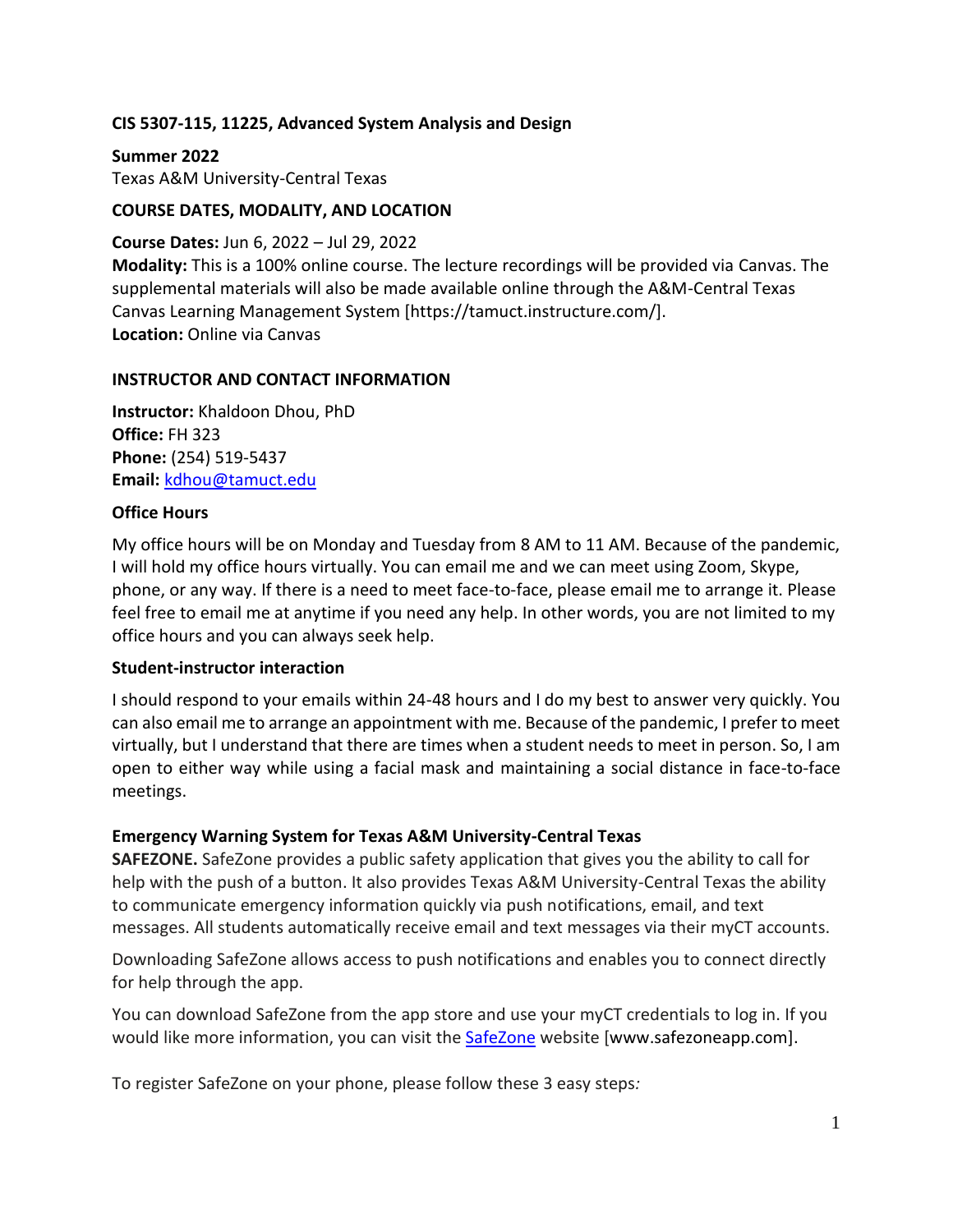#### **CIS 5307-115, 11225, Advanced System Analysis and Design**

**Summer 2022** Texas A&M University-Central Texas

#### **COURSE DATES, MODALITY, AND LOCATION**

**Course Dates:** Jun 6, 2022 – Jul 29, 2022 **Modality:** This is a 100% online course. The lecture recordings will be provided via Canvas. The supplemental materials will also be made available online through the A&M-Central Texas Canvas Learning Management System [https://tamuct.instructure.com/]. **Location:** Online via Canvas

#### **INSTRUCTOR AND CONTACT INFORMATION**

**Instructor:** Khaldoon Dhou, PhD **Office:** FH 323 **Phone:** (254) 519-5437 **Email:** [kdhou@tamuct.edu](mailto:kdhou@tamuct.edu)

#### **Office Hours**

My office hours will be on Monday and Tuesday from 8 AM to 11 AM. Because of the pandemic, I will hold my office hours virtually. You can email me and we can meet using Zoom, Skype, phone, or any way. If there is a need to meet face-to-face, please email me to arrange it. Please feel free to email me at anytime if you need any help. In other words, you are not limited to my office hours and you can always seek help.

#### **Student-instructor interaction**

I should respond to your emails within 24-48 hours and I do my best to answer very quickly. You can also email me to arrange an appointment with me. Because of the pandemic, I prefer to meet virtually, but I understand that there are times when a student needs to meet in person. So, I am open to either way while using a facial mask and maintaining a social distance in face-to-face meetings.

#### **Emergency Warning System for Texas A&M University-Central Texas**

**SAFEZONE.** SafeZone provides a public safety application that gives you the ability to call for help with the push of a button. It also provides Texas A&M University-Central Texas the ability to communicate emergency information quickly via push notifications, email, and text messages. All students automatically receive email and text messages via their myCT accounts.

Downloading SafeZone allows access to push notifications and enables you to connect directly for help through the app.

You can download SafeZone from the app store and use your myCT credentials to log in. If you would like more information, you can visit the [SafeZone](http://www.safezoneapp.com/) website [www.safezoneapp.com].

To register SafeZone on your phone, please follow these 3 easy steps*:*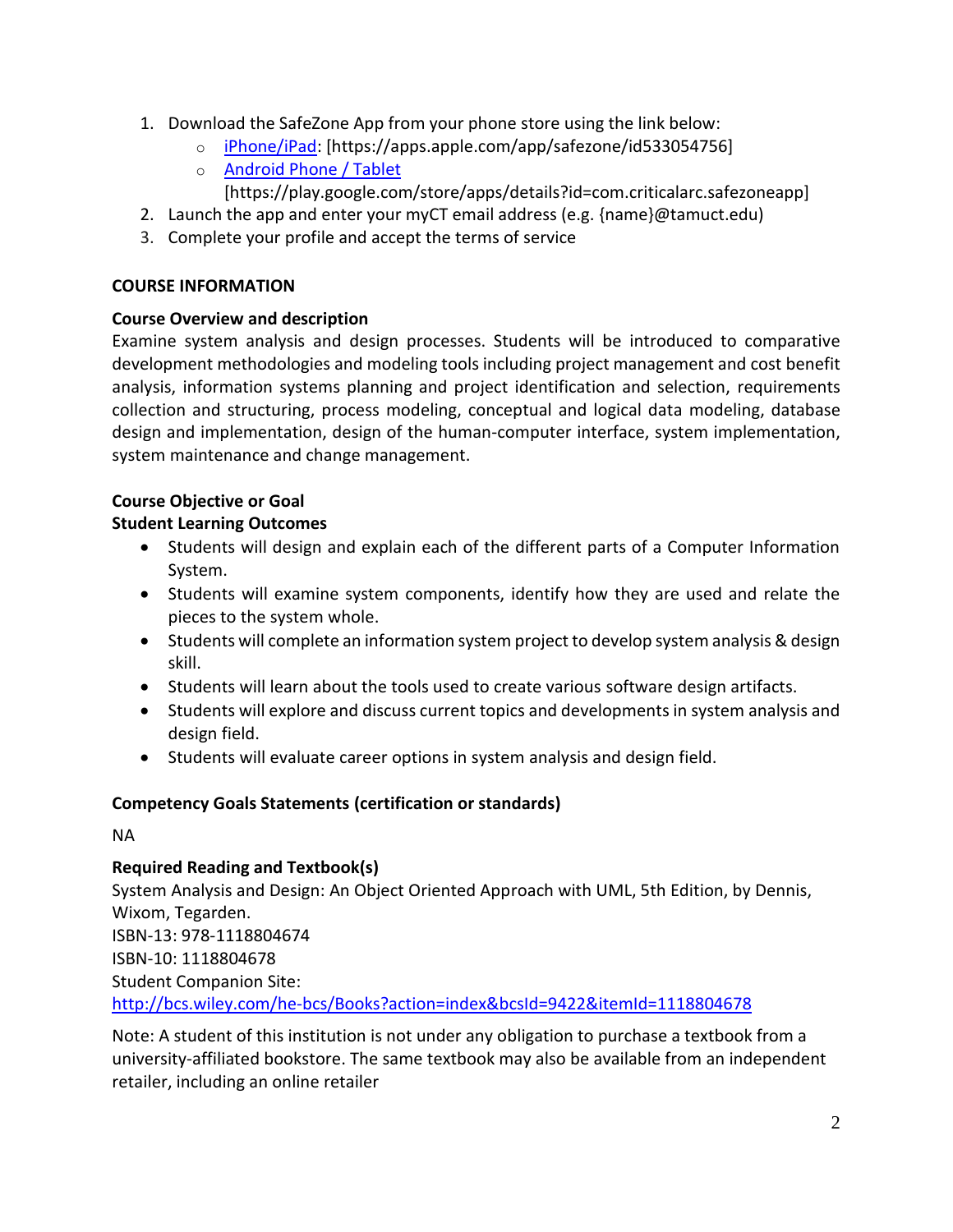- 1. Download the SafeZone App from your phone store using the link below:
	- o [iPhone/iPad:](https://apps.apple.com/app/safezone/id533054756) [https://apps.apple.com/app/safezone/id533054756]
	- o [Android Phone / Tablet](https://play.google.com/store/apps/details?id=com.criticalarc.safezoneapp)
		- [https://play.google.com/store/apps/details?id=com.criticalarc.safezoneapp]
- 2. Launch the app and enter your myCT email address (e.g. {name}@tamuct.edu)
- 3. Complete your profile and accept the terms of service

## **COURSE INFORMATION**

## **Course Overview and description**

Examine system analysis and design processes. Students will be introduced to comparative development methodologies and modeling tools including project management and cost benefit analysis, information systems planning and project identification and selection, requirements collection and structuring, process modeling, conceptual and logical data modeling, database design and implementation, design of the human-computer interface, system implementation, system maintenance and change management.

## **Course Objective or Goal**

## **Student Learning Outcomes**

- Students will design and explain each of the different parts of a Computer Information System.
- Students will examine system components, identify how they are used and relate the pieces to the system whole.
- Students will complete an information system project to develop system analysis & design skill.
- Students will learn about the tools used to create various software design artifacts.
- Students will explore and discuss current topics and developments in system analysis and design field.
- Students will evaluate career options in system analysis and design field.

## **Competency Goals Statements (certification or standards)**

NA

# **Required Reading and Textbook(s)**

System Analysis and Design: An Object Oriented Approach with UML, 5th Edition, by Dennis, Wixom, Tegarden. ISBN-13: 978-1118804674 ISBN-10: 1118804678 Student Companion Site: <http://bcs.wiley.com/he-bcs/Books?action=index&bcsId=9422&itemId=1118804678>

Note: A student of this institution is not under any obligation to purchase a textbook from a university-affiliated bookstore. The same textbook may also be available from an independent retailer, including an online retailer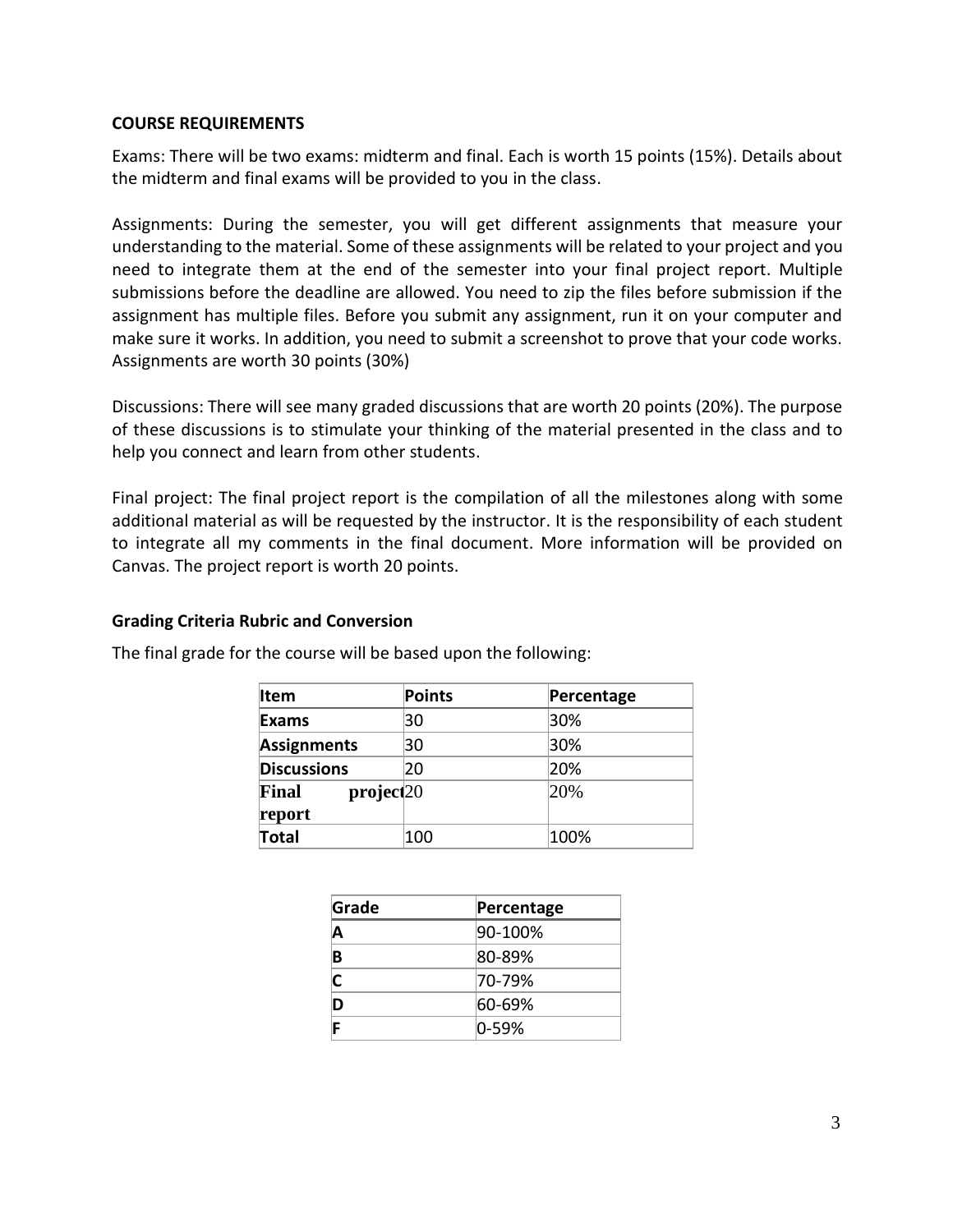#### **COURSE REQUIREMENTS**

Exams: There will be two exams: midterm and final. Each is worth 15 points (15%). Details about the midterm and final exams will be provided to you in the class.

Assignments: During the semester, you will get different assignments that measure your understanding to the material. Some of these assignments will be related to your project and you need to integrate them at the end of the semester into your final project report. Multiple submissions before the deadline are allowed. You need to zip the files before submission if the assignment has multiple files. Before you submit any assignment, run it on your computer and make sure it works. In addition, you need to submit a screenshot to prove that your code works. Assignments are worth 30 points (30%)

Discussions: There will see many graded discussions that are worth 20 points (20%). The purpose of these discussions is to stimulate your thinking of the material presented in the class and to help you connect and learn from other students.

Final project: The final project report is the compilation of all the milestones along with some additional material as will be requested by the instructor. It is the responsibility of each student to integrate all my comments in the final document. More information will be provided on Canvas. The project report is worth 20 points.

#### **Grading Criteria Rubric and Conversion**

| <b>Item</b>                              | Points | Percentage |
|------------------------------------------|--------|------------|
| Exams                                    | 30     | 30%        |
| <b>Assignments</b>                       | 30     | 30%        |
| <b>Discussions</b>                       | 20     | 20%        |
| project <sub>20</sub><br>Final<br>report |        | 20%        |
| Total                                    | 100    | 100%       |

The final grade for the course will be based upon the following:

| Grade | Percentage |  |
|-------|------------|--|
|       | 90-100%    |  |
| B     | 80-89%     |  |
|       | 170-79%    |  |
|       | 60-69%     |  |
|       | 10-59%     |  |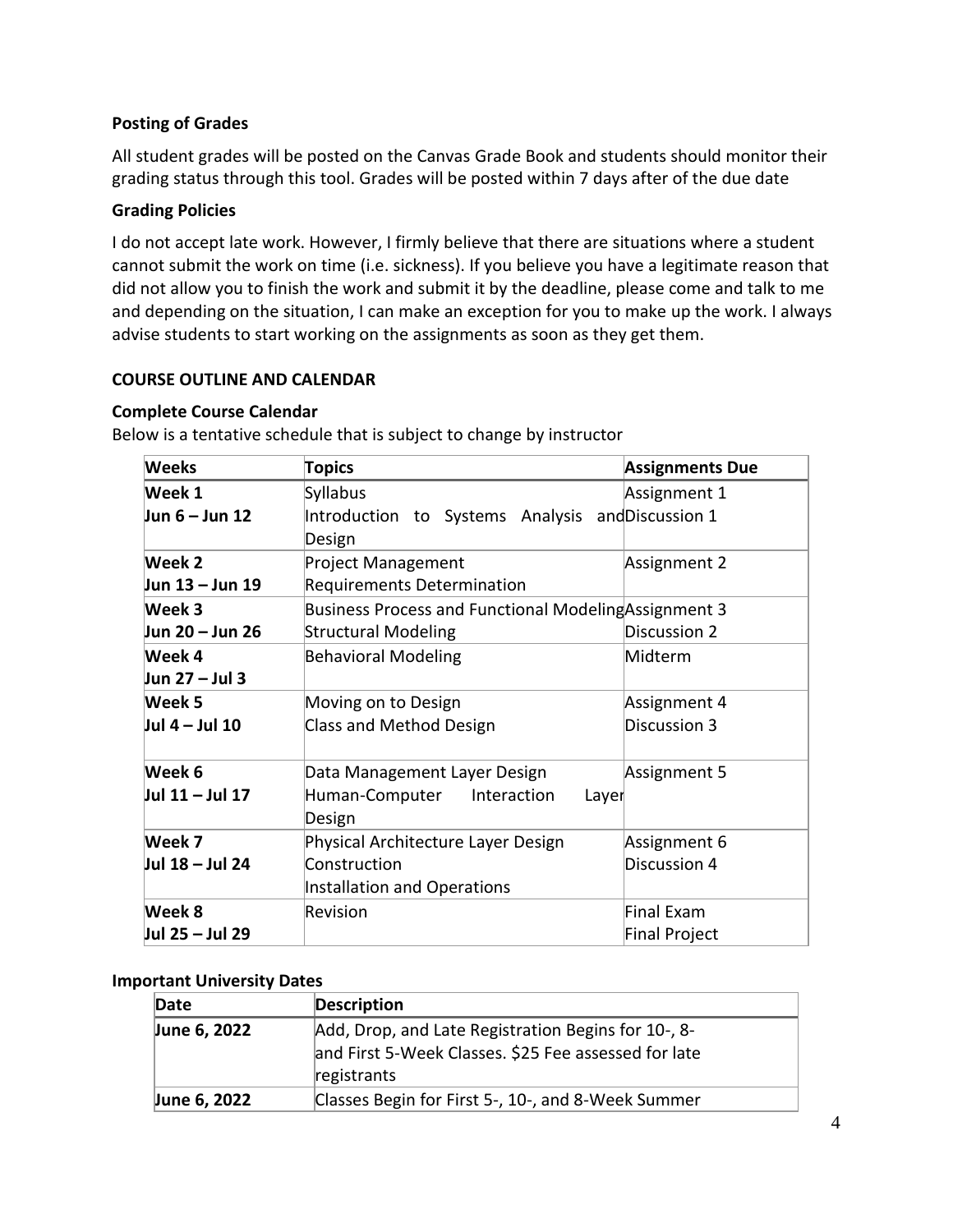### **Posting of Grades**

All student grades will be posted on the Canvas Grade Book and students should monitor their grading status through this tool. Grades will be posted within 7 days after of the due date

#### **Grading Policies**

I do not accept late work. However, I firmly believe that there are situations where a student cannot submit the work on time (i.e. sickness). If you believe you have a legitimate reason that did not allow you to finish the work and submit it by the deadline, please come and talk to me and depending on the situation, I can make an exception for you to make up the work. I always advise students to start working on the assignments as soon as they get them.

#### **COURSE OUTLINE AND CALENDAR**

#### **Complete Course Calendar**

| <b>Weeks</b>     | <b>Topics</b>                                         | <b>Assignments Due</b> |
|------------------|-------------------------------------------------------|------------------------|
| Week 1           | Syllabus                                              | Assignment 1           |
| Jun 6 – Jun 12   | Introduction to Systems Analysis and Discussion 1     |                        |
|                  | Design                                                |                        |
| Week 2           | <b>Project Management</b>                             | Assignment 2           |
| Jun 13 – Jun 19  | <b>Requirements Determination</b>                     |                        |
| Week 3           | Business Process and Functional Modeling Assignment 3 |                        |
| Jun 20 - Jun 26  | <b>Structural Modeling</b>                            | Discussion 2           |
| Week 4           | <b>Behavioral Modeling</b>                            | Midterm                |
| Jun 27 – Jul 3   |                                                       |                        |
| Week 5           | Moving on to Design                                   | Assignment 4           |
| Jul $4 -$ Jul 10 | Class and Method Design                               | Discussion 3           |
| Week 6           | Data Management Layer Design                          | Assignment 5           |
| Jul 11 - Jul 17  | Human-Computer<br>Interaction<br>Layer                |                        |
|                  | Design                                                |                        |
| Week 7           | Physical Architecture Layer Design                    | Assignment 6           |
| Jul 18 - Jul 24  | Construction                                          | Discussion 4           |
|                  | Installation and Operations                           |                        |
| Week 8           | Revision                                              | Final Exam             |
| Jul 25 - Jul 29  |                                                       | Final Project          |

Below is a tentative schedule that is subject to change by instructor

#### **Important University Dates**

| Date         | <b>Description</b>                                                                                                         |
|--------------|----------------------------------------------------------------------------------------------------------------------------|
| June 6, 2022 | Add, Drop, and Late Registration Begins for 10-, 8-<br>and First 5-Week Classes. \$25 Fee assessed for late<br>registrants |
| June 6, 2022 | Classes Begin for First 5-, 10-, and 8-Week Summer                                                                         |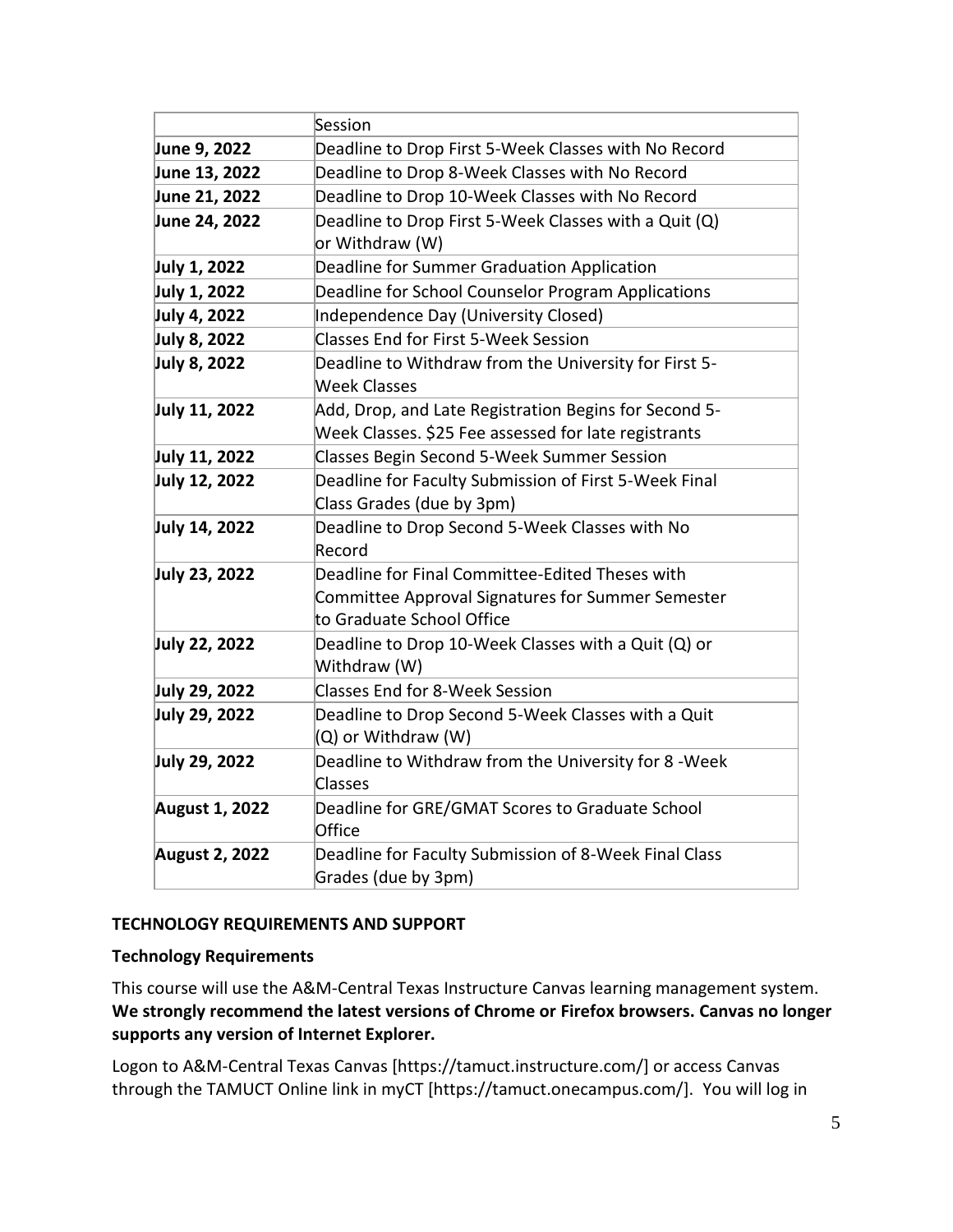|                       | Session                                               |  |
|-----------------------|-------------------------------------------------------|--|
| June 9, 2022          | Deadline to Drop First 5-Week Classes with No Record  |  |
| June 13, 2022         | Deadline to Drop 8-Week Classes with No Record        |  |
| June 21, 2022         | Deadline to Drop 10-Week Classes with No Record       |  |
| June 24, 2022         | Deadline to Drop First 5-Week Classes with a Quit (Q) |  |
|                       | or Withdraw (W)                                       |  |
| July 1, 2022          | Deadline for Summer Graduation Application            |  |
| July 1, 2022          | Deadline for School Counselor Program Applications    |  |
| July 4, 2022          | Independence Day (University Closed)                  |  |
| July 8, 2022          | <b>Classes End for First 5-Week Session</b>           |  |
| July 8, 2022          | Deadline to Withdraw from the University for First 5- |  |
|                       | <b>Week Classes</b>                                   |  |
| July 11, 2022         | Add, Drop, and Late Registration Begins for Second 5- |  |
|                       | Week Classes. \$25 Fee assessed for late registrants  |  |
| July 11, 2022         | <b>Classes Begin Second 5-Week Summer Session</b>     |  |
| July 12, 2022         | Deadline for Faculty Submission of First 5-Week Final |  |
|                       | Class Grades (due by 3pm)                             |  |
| July 14, 2022         | Deadline to Drop Second 5-Week Classes with No        |  |
|                       | Record                                                |  |
| July 23, 2022         | Deadline for Final Committee-Edited Theses with       |  |
|                       | Committee Approval Signatures for Summer Semester     |  |
|                       | to Graduate School Office                             |  |
| July 22, 2022         | Deadline to Drop 10-Week Classes with a Quit (Q) or   |  |
|                       | Withdraw (W)                                          |  |
| July 29, 2022         | <b>Classes End for 8-Week Session</b>                 |  |
| July 29, 2022         | Deadline to Drop Second 5-Week Classes with a Quit    |  |
|                       | (Q) or Withdraw (W)                                   |  |
| July 29, 2022         | Deadline to Withdraw from the University for 8 - Week |  |
|                       | Classes                                               |  |
| <b>August 1, 2022</b> | Deadline for GRE/GMAT Scores to Graduate School       |  |
|                       | Office                                                |  |
| <b>August 2, 2022</b> | Deadline for Faculty Submission of 8-Week Final Class |  |
|                       | Grades (due by 3pm)                                   |  |

## **TECHNOLOGY REQUIREMENTS AND SUPPORT**

#### **Technology Requirements**

This course will use the A&M-Central Texas Instructure Canvas learning management system. **We strongly recommend the latest versions of Chrome or Firefox browsers. Canvas no longer supports any version of Internet Explorer.**

Logon to A&M-Central Texas Canvas [https://tamuct.instructure.com/] or access Canvas through the TAMUCT Online link in myCT [https://tamuct.onecampus.com/]. You will log in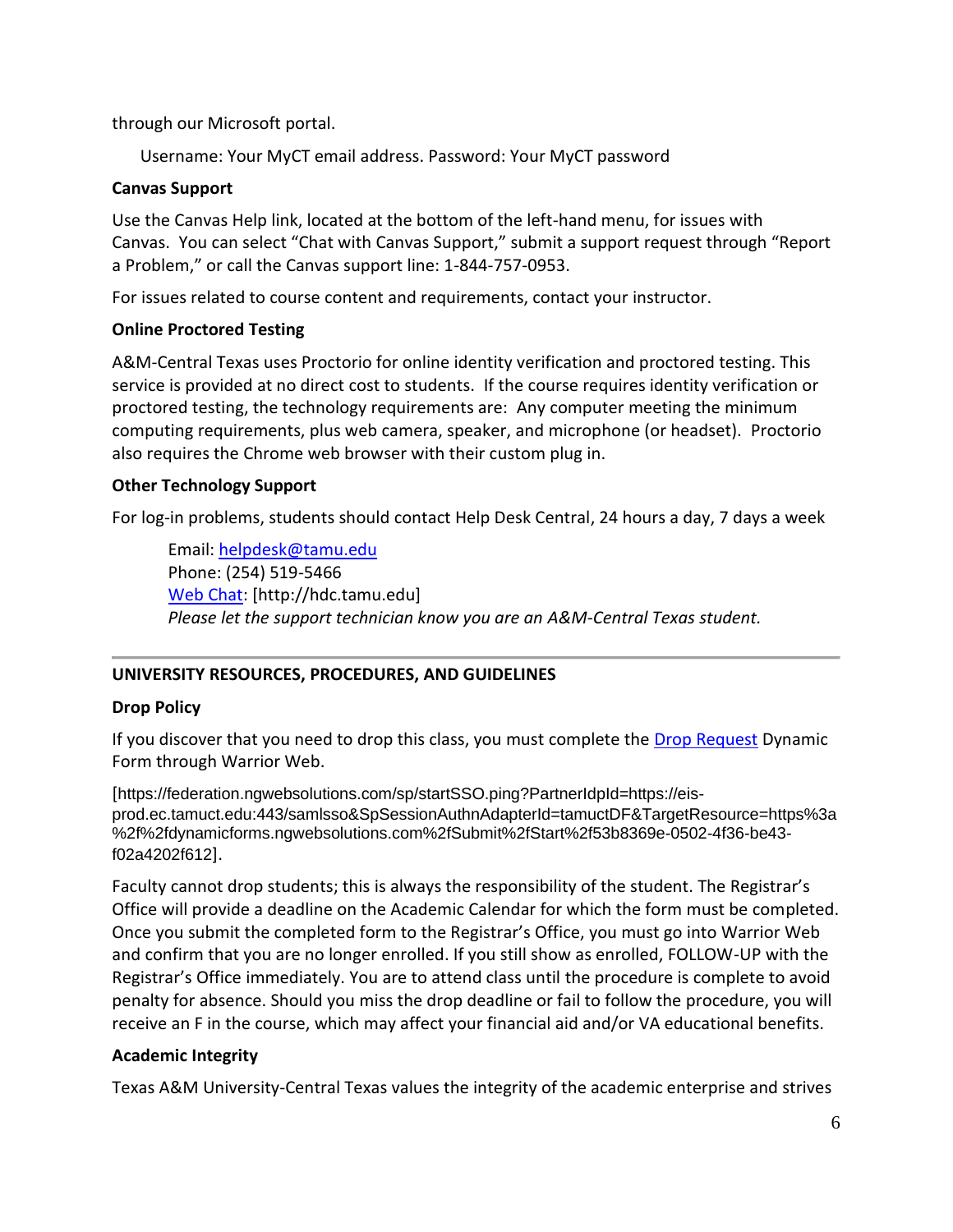through our Microsoft portal.

Username: Your MyCT email address. Password: Your MyCT password

#### **Canvas Support**

Use the Canvas Help link, located at the bottom of the left-hand menu, for issues with Canvas. You can select "Chat with Canvas Support," submit a support request through "Report a Problem," or call the Canvas support line: 1-844-757-0953.

For issues related to course content and requirements, contact your instructor.

#### **Online Proctored Testing**

A&M-Central Texas uses Proctorio for online identity verification and proctored testing. This service is provided at no direct cost to students. If the course requires identity verification or proctored testing, the technology requirements are: Any computer meeting the minimum computing requirements, plus web camera, speaker, and microphone (or headset). Proctorio also requires the Chrome web browser with their custom plug in.

## **Other Technology Support**

For log-in problems, students should contact Help Desk Central, 24 hours a day, 7 days a week

Email: [helpdesk@tamu.edu](mailto:helpdesk@tamu.edu) Phone: (254) 519-5466 [Web Chat:](http://hdc.tamu.edu/) [http://hdc.tamu.edu] *Please let the support technician know you are an A&M-Central Texas student.*

# **UNIVERSITY RESOURCES, PROCEDURES, AND GUIDELINES**

## **Drop Policy**

If you discover that you need to drop this class, you must complete the [Drop Request](https://federation.ngwebsolutions.com/sp/startSSO.ping?PartnerIdpId=https://eis-prod.ec.tamuct.edu:443/samlsso&SpSessionAuthnAdapterId=tamuctDF&TargetResource=https%3a%2f%2fdynamicforms.ngwebsolutions.com%2fSubmit%2fStart%2f53b8369e-0502-4f36-be43-f02a4202f612) Dynamic Form through Warrior Web.

[https://federation.ngwebsolutions.com/sp/startSSO.ping?PartnerIdpId=https://eisprod.ec.tamuct.edu:443/samlsso&SpSessionAuthnAdapterId=tamuctDF&TargetResource=https%3a %2f%2fdynamicforms.ngwebsolutions.com%2fSubmit%2fStart%2f53b8369e-0502-4f36-be43 f02a4202f612].

Faculty cannot drop students; this is always the responsibility of the student. The Registrar's Office will provide a deadline on the Academic Calendar for which the form must be completed. Once you submit the completed form to the Registrar's Office, you must go into Warrior Web and confirm that you are no longer enrolled. If you still show as enrolled, FOLLOW-UP with the Registrar's Office immediately. You are to attend class until the procedure is complete to avoid penalty for absence. Should you miss the drop deadline or fail to follow the procedure, you will receive an F in the course, which may affect your financial aid and/or VA educational benefits.

## **Academic Integrity**

Texas A&M University-Central Texas values the integrity of the academic enterprise and strives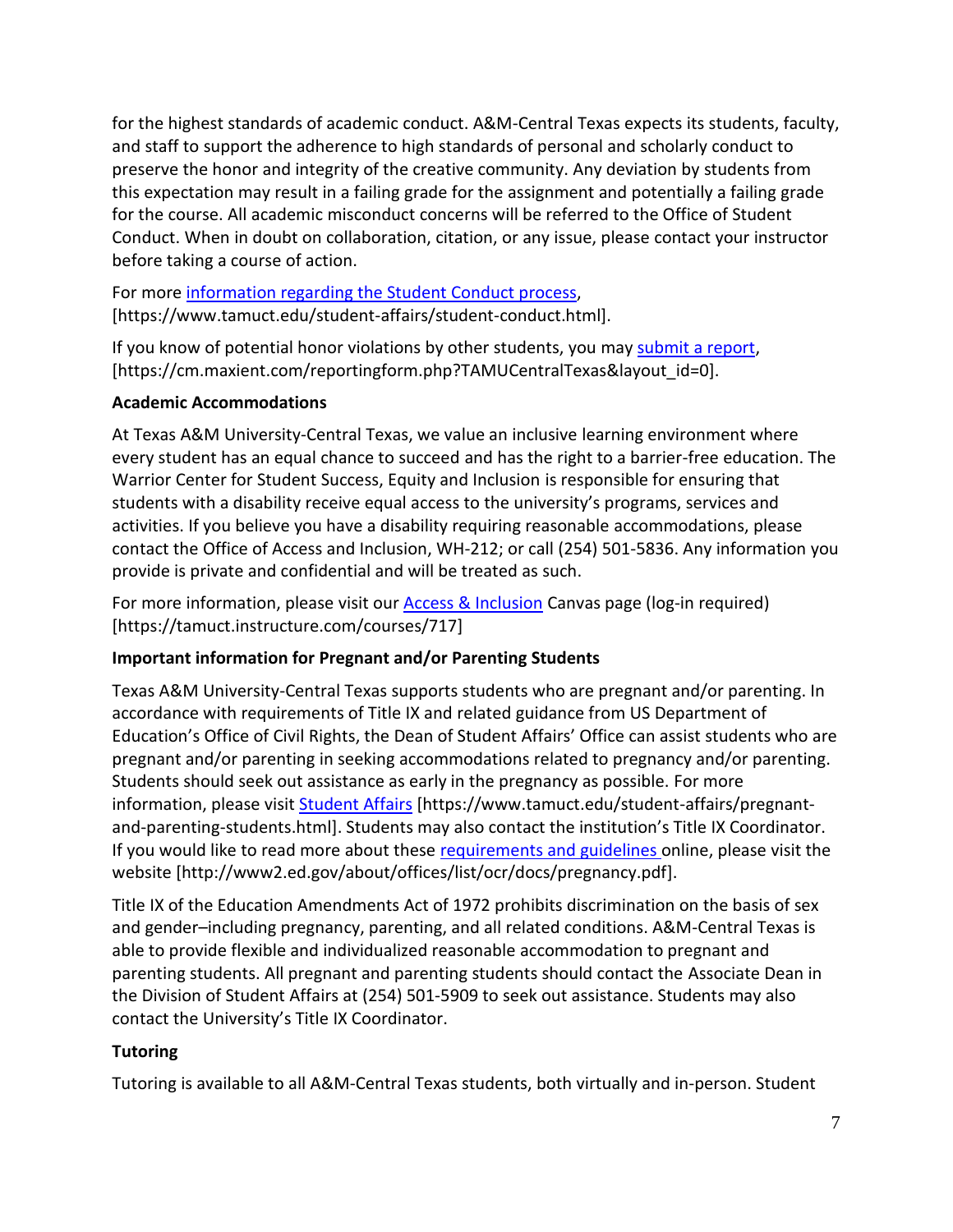for the highest standards of academic conduct. A&M-Central Texas expects its students, faculty, and staff to support the adherence to high standards of personal and scholarly conduct to preserve the honor and integrity of the creative community. Any deviation by students from this expectation may result in a failing grade for the assignment and potentially a failing grade for the course. All academic misconduct concerns will be referred to the Office of Student Conduct. When in doubt on collaboration, citation, or any issue, please contact your instructor before taking a course of action.

For more [information](https://nam04.safelinks.protection.outlook.com/?url=https%3A%2F%2Fwww.tamuct.edu%2Fstudent-affairs%2Fstudent-conduct.html&data=04%7C01%7Clisa.bunkowski%40tamuct.edu%7Ccfb6e486f24745f53e1a08d910055cb2%7C9eed4e3000f744849ff193ad8005acec%7C0%7C0%7C637558437485252160%7CUnknown%7CTWFpbGZsb3d8eyJWIjoiMC4wLjAwMDAiLCJQIjoiV2luMzIiLCJBTiI6Ik1haWwiLCJXVCI6Mn0%3D%7C1000&sdata=yjftDEVHvLX%2FhM%2FcFU0B99krV1RgEWR%2BJ%2BhvtoR6TYk%3D&reserved=0) regarding the Student Conduct process, [https://www.tamuct.edu/student-affairs/student-conduct.html].

If you know of potential honor violations by other students, you may [submit](https://nam04.safelinks.protection.outlook.com/?url=https%3A%2F%2Fcm.maxient.com%2Freportingform.php%3FTAMUCentralTexas%26layout_id%3D0&data=04%7C01%7Clisa.bunkowski%40tamuct.edu%7Ccfb6e486f24745f53e1a08d910055cb2%7C9eed4e3000f744849ff193ad8005acec%7C0%7C0%7C637558437485262157%7CUnknown%7CTWFpbGZsb3d8eyJWIjoiMC4wLjAwMDAiLCJQIjoiV2luMzIiLCJBTiI6Ik1haWwiLCJXVCI6Mn0%3D%7C1000&sdata=CXGkOa6uPDPX1IMZ87z3aZDq2n91xfHKu4MMS43Ejjk%3D&reserved=0) a report, [https://cm.maxient.com/reportingform.php?TAMUCentralTexas&layout\_id=0].

# **Academic Accommodations**

At Texas A&M University-Central Texas, we value an inclusive learning environment where every student has an equal chance to succeed and has the right to a barrier-free education. The Warrior Center for Student Success, Equity and Inclusion is responsible for ensuring that students with a disability receive equal access to the university's programs, services and activities. If you believe you have a disability requiring reasonable accommodations, please contact the Office of Access and Inclusion, WH-212; or call (254) 501-5836. Any information you provide is private and confidential and will be treated as such.

For more information, please visit our [Access & Inclusion](https://tamuct.instructure.com/courses/717) Canvas page (log-in required) [https://tamuct.instructure.com/courses/717]

# **Important information for Pregnant and/or Parenting Students**

Texas A&M University-Central Texas supports students who are pregnant and/or parenting. In accordance with requirements of Title IX and related guidance from US Department of Education's Office of Civil Rights, the Dean of Student Affairs' Office can assist students who are pregnant and/or parenting in seeking accommodations related to pregnancy and/or parenting. Students should seek out assistance as early in the pregnancy as possible. For more information, please visit [Student Affairs](https://www.tamuct.edu/student-affairs/pregnant-and-parenting-students.html) [https://www.tamuct.edu/student-affairs/pregnantand-parenting-students.html]. Students may also contact the institution's Title IX Coordinator. If you would like to read more about these [requirements and guidelines](http://www2.ed.gov/about/offices/list/ocr/docs/pregnancy.pdf) online, please visit the website [http://www2.ed.gov/about/offices/list/ocr/docs/pregnancy.pdf].

Title IX of the Education Amendments Act of 1972 prohibits discrimination on the basis of sex and gender–including pregnancy, parenting, and all related conditions. A&M-Central Texas is able to provide flexible and individualized reasonable accommodation to pregnant and parenting students. All pregnant and parenting students should contact the Associate Dean in the Division of Student Affairs at (254) 501-5909 to seek out assistance. Students may also contact the University's Title IX Coordinator.

# **Tutoring**

Tutoring is available to all A&M-Central Texas students, both virtually and in-person. Student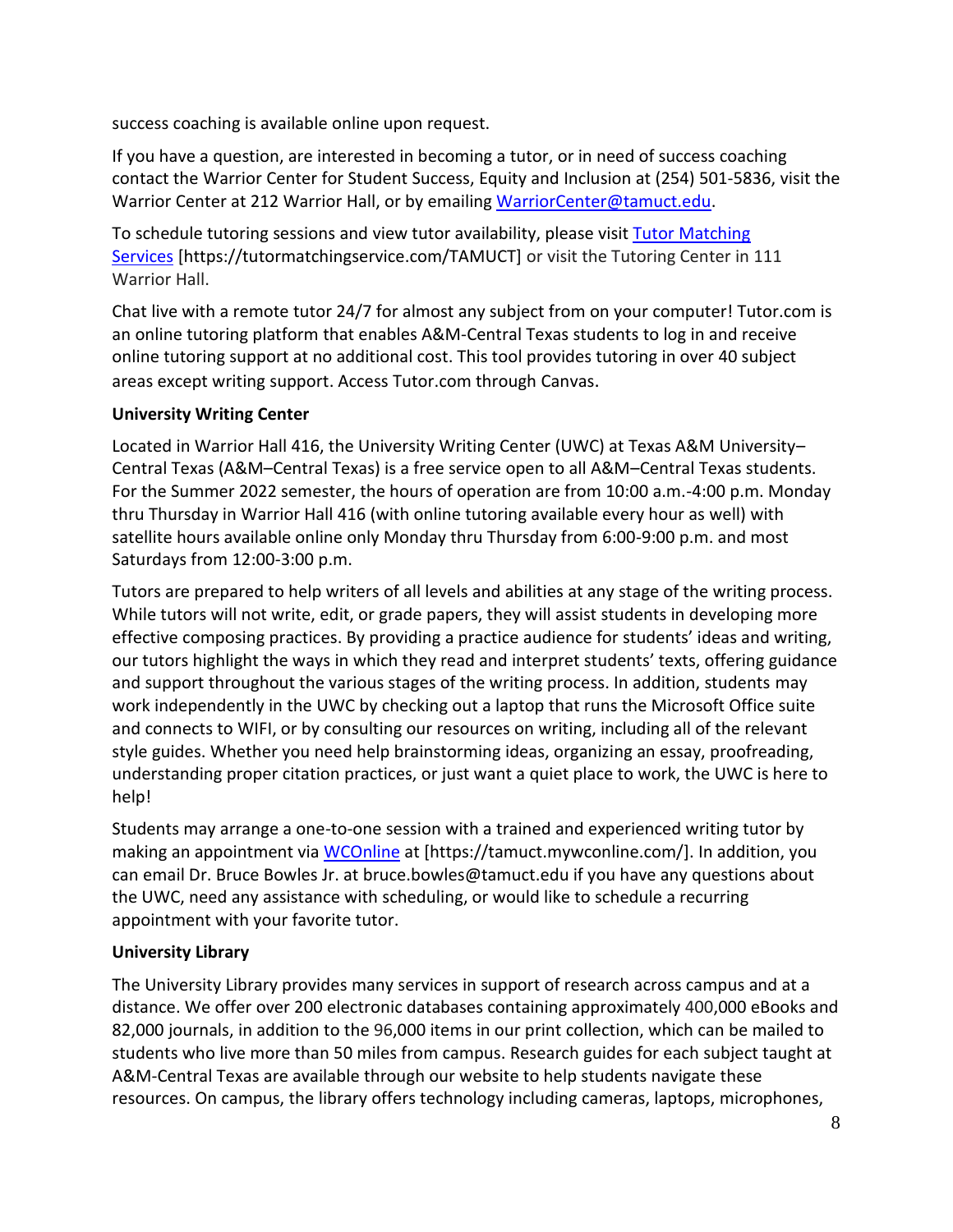success coaching is available online upon request.

If you have a question, are interested in becoming a tutor, or in need of success coaching contact the Warrior Center for Student Success, Equity and Inclusion at (254) 501-5836, visit the Warrior Center at 212 Warrior Hall, or by emailing [WarriorCenter@tamuct.edu.](mailto:WarriorCenter@tamuct.edu)

To schedule tutoring sessions and view tutor availability, please visit Tutor [Matching](https://tutormatchingservice.com/TAMUCT) [Services](https://tutormatchingservice.com/TAMUCT) [https://tutormatchingservice.com/TAMUCT] or visit the Tutoring Center in 111 Warrior Hall.

Chat live with a remote tutor 24/7 for almost any subject from on your computer! Tutor.com is an online tutoring platform that enables A&M-Central Texas students to log in and receive online tutoring support at no additional cost. This tool provides tutoring in over 40 subject areas except writing support. Access Tutor.com through Canvas.

## **University Writing Center**

Located in Warrior Hall 416, the University Writing Center (UWC) at Texas A&M University– Central Texas (A&M–Central Texas) is a free service open to all A&M–Central Texas students. For the Summer 2022 semester, the hours of operation are from 10:00 a.m.-4:00 p.m. Monday thru Thursday in Warrior Hall 416 (with online tutoring available every hour as well) with satellite hours available online only Monday thru Thursday from 6:00-9:00 p.m. and most Saturdays from 12:00-3:00 p.m.

Tutors are prepared to help writers of all levels and abilities at any stage of the writing process. While tutors will not write, edit, or grade papers, they will assist students in developing more effective composing practices. By providing a practice audience for students' ideas and writing, our tutors highlight the ways in which they read and interpret students' texts, offering guidance and support throughout the various stages of the writing process. In addition, students may work independently in the UWC by checking out a laptop that runs the Microsoft Office suite and connects to WIFI, or by consulting our resources on writing, including all of the relevant style guides. Whether you need help brainstorming ideas, organizing an essay, proofreading, understanding proper citation practices, or just want a quiet place to work, the UWC is here to help!

Students may arrange a one-to-one session with a trained and experienced writing tutor by making an appointment via [WCOnline](https://tamuct.mywconline.com/) at [https://tamuct.mywconline.com/]. In addition, you can email Dr. Bruce Bowles Jr. at bruce.bowles@tamuct.edu if you have any questions about the UWC, need any assistance with scheduling, or would like to schedule a recurring appointment with your favorite tutor.

## **University Library**

The University Library provides many services in support of research across campus and at a distance. We offer over 200 electronic databases containing approximately 400,000 eBooks and 82,000 journals, in addition to the 96,000 items in our print collection, which can be mailed to students who live more than 50 miles from campus. Research guides for each subject taught at A&M-Central Texas are available through our website to help students navigate these resources. On campus, the library offers technology including cameras, laptops, microphones,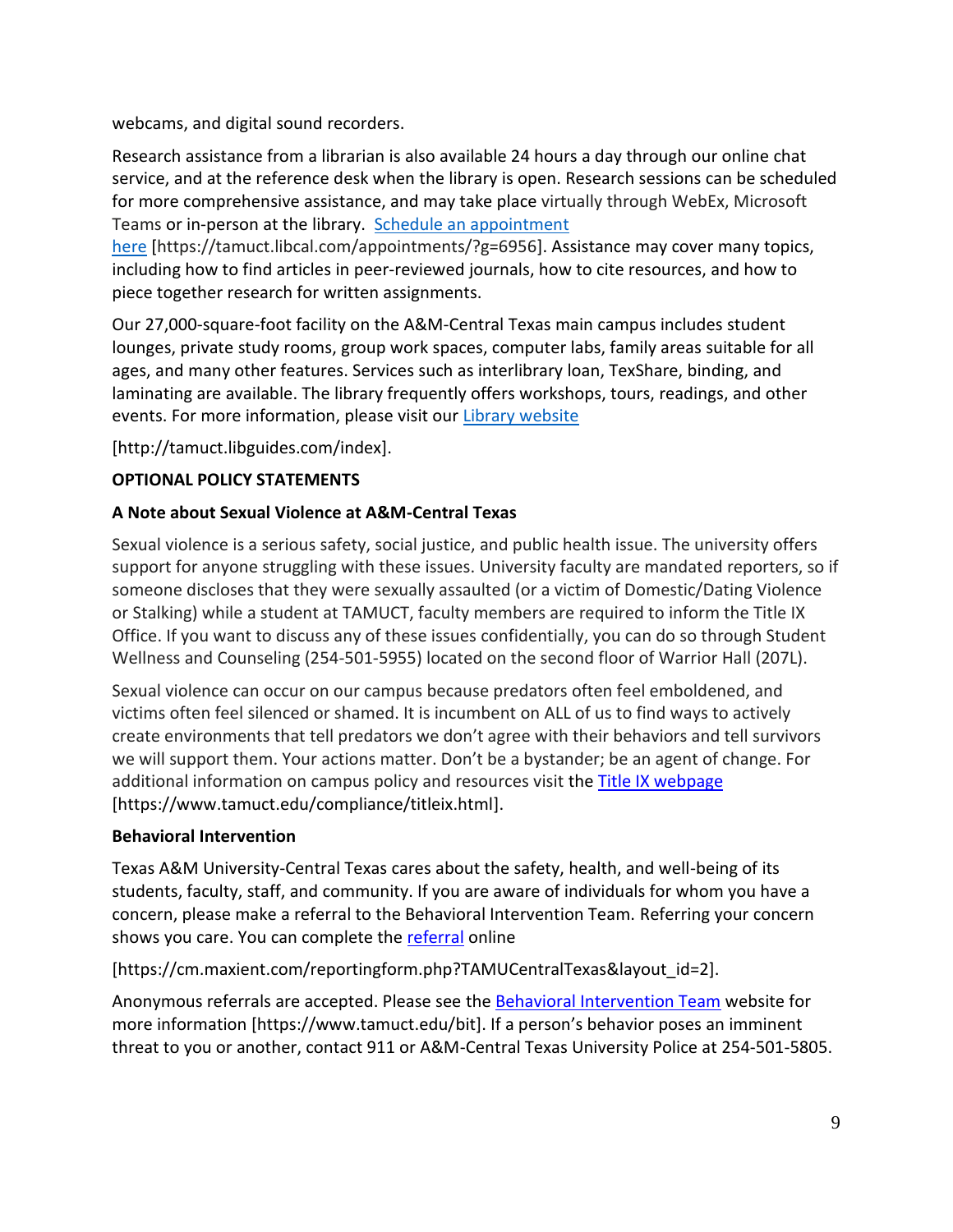webcams, and digital sound recorders.

Research assistance from a librarian is also available 24 hours a day through our online chat service, and at the reference desk when the library is open. Research sessions can be scheduled for more comprehensive assistance, and may take place virtually through WebEx, Microsoft Teams or in-person at the library. Schedule an [appointment](https://nam04.safelinks.protection.outlook.com/?url=https%3A%2F%2Ftamuct.libcal.com%2Fappointments%2F%3Fg%3D6956&data=04%7C01%7Clisa.bunkowski%40tamuct.edu%7Cde2c07d9f5804f09518008d9ab7ba6ff%7C9eed4e3000f744849ff193ad8005acec%7C0%7C0%7C637729369835011558%7CUnknown%7CTWFpbGZsb3d8eyJWIjoiMC4wLjAwMDAiLCJQIjoiV2luMzIiLCJBTiI6Ik1haWwiLCJXVCI6Mn0%3D%7C3000&sdata=KhtjgRSAw9aq%2FoBsB6wyu8b7PSuGN5EGPypzr3Ty2No%3D&reserved=0)

[here](https://nam04.safelinks.protection.outlook.com/?url=https%3A%2F%2Ftamuct.libcal.com%2Fappointments%2F%3Fg%3D6956&data=04%7C01%7Clisa.bunkowski%40tamuct.edu%7Cde2c07d9f5804f09518008d9ab7ba6ff%7C9eed4e3000f744849ff193ad8005acec%7C0%7C0%7C637729369835011558%7CUnknown%7CTWFpbGZsb3d8eyJWIjoiMC4wLjAwMDAiLCJQIjoiV2luMzIiLCJBTiI6Ik1haWwiLCJXVCI6Mn0%3D%7C3000&sdata=KhtjgRSAw9aq%2FoBsB6wyu8b7PSuGN5EGPypzr3Ty2No%3D&reserved=0) [https://tamuct.libcal.com/appointments/?g=6956]. Assistance may cover many topics, including how to find articles in peer-reviewed journals, how to cite resources, and how to piece together research for written assignments.

Our 27,000-square-foot facility on the A&M-Central Texas main campus includes student lounges, private study rooms, group work spaces, computer labs, family areas suitable for all ages, and many other features. Services such as interlibrary loan, TexShare, binding, and laminating are available. The library frequently offers workshops, tours, readings, and other events. For more information, please visit our **Library [website](https://nam04.safelinks.protection.outlook.com/?url=https%3A%2F%2Ftamuct.libguides.com%2Findex&data=04%7C01%7Clisa.bunkowski%40tamuct.edu%7C7d8489e8839a4915335f08d916f067f2%7C9eed4e3000f744849ff193ad8005acec%7C0%7C0%7C637566044056484222%7CUnknown%7CTWFpbGZsb3d8eyJWIjoiMC4wLjAwMDAiLCJQIjoiV2luMzIiLCJBTiI6Ik1haWwiLCJXVCI6Mn0%3D%7C1000&sdata=2R755V6rcIyedGrd4Os5rkgn1PvhHKU3kUV1vBKiHFo%3D&reserved=0)** 

[http://tamuct.libguides.com/index].

## **OPTIONAL POLICY STATEMENTS**

## **A Note about Sexual Violence at A&M-Central Texas**

Sexual violence is a serious safety, social justice, and public health issue. The university offers support for anyone struggling with these issues. University faculty are mandated reporters, so if someone discloses that they were sexually assaulted (or a victim of Domestic/Dating Violence or Stalking) while a student at TAMUCT, faculty members are required to inform the Title IX Office. If you want to discuss any of these issues confidentially, you can do so through Student Wellness and Counseling (254-501-5955) located on the second floor of Warrior Hall (207L).

Sexual violence can occur on our campus because predators often feel emboldened, and victims often feel silenced or shamed. It is incumbent on ALL of us to find ways to actively create environments that tell predators we don't agree with their behaviors and tell survivors we will support them. Your actions matter. Don't be a bystander; be an agent of change. For additional information on campus policy and resources visit the **Title IX webpage** [\[https://www.tamuct.edu/compliance/titleix.html\]](https://www.tamuct.edu/compliance/titleix.html).

## **Behavioral Intervention**

Texas A&M University-Central Texas cares about the safety, health, and well-being of its students, faculty, staff, and community. If you are aware of individuals for whom you have a concern, please make a referral to the Behavioral Intervention Team. Referring your concern shows you care. You can complete the [referral](https://cm.maxient.com/reportingform.php?TAMUCentralTexas&layout_id=2) online

[https://cm.maxient.com/reportingform.php?TAMUCentralTexas&layout\_id=2].

Anonymous referrals are accepted. Please see the [Behavioral Intervention Team](https://www.tamuct.edu/bit) website for more information [https://www.tamuct.edu/bit]. If a person's behavior poses an imminent threat to you or another, contact 911 or A&M-Central Texas University Police at 254-501-5805.